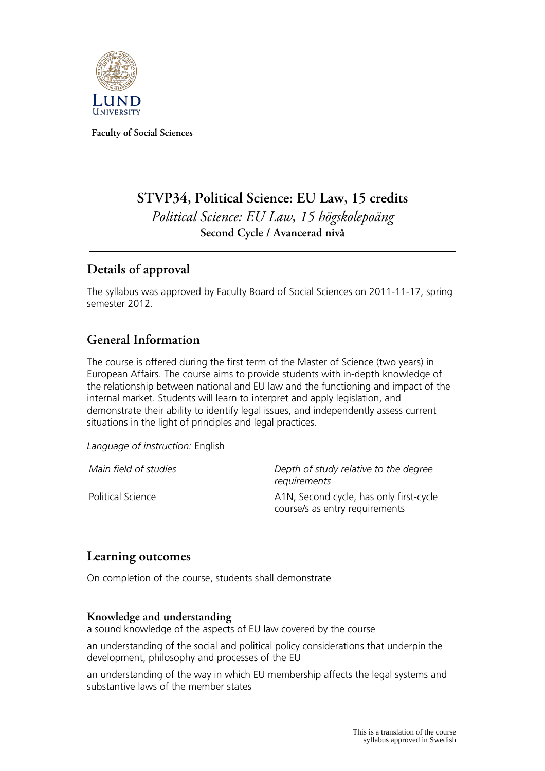

**Faculty of Social Sciences**

# **STVP34, Political Science: EU Law, 15 credits** *Political Science: EU Law, 15 högskolepoäng* **Second Cycle / Avancerad nivå**

## **Details of approval**

The syllabus was approved by Faculty Board of Social Sciences on 2011-11-17, spring semester 2012.

## **General Information**

The course is offered during the first term of the Master of Science (two years) in European Affairs. The course aims to provide students with in-depth knowledge of the relationship between national and EU law and the functioning and impact of the internal market. Students will learn to interpret and apply legislation, and demonstrate their ability to identify legal issues, and independently assess current situations in the light of principles and legal practices.

*Language of instruction:* English

*Main field of studies Depth of study relative to the degree requirements* Political Science **A1N, Second cycle, has only first-cycle** course/s as entry requirements

## **Learning outcomes**

On completion of the course, students shall demonstrate

#### **Knowledge and understanding**

a sound knowledge of the aspects of EU law covered by the course

an understanding of the social and political policy considerations that underpin the development, philosophy and processes of the EU

an understanding of the way in which EU membership affects the legal systems and substantive laws of the member states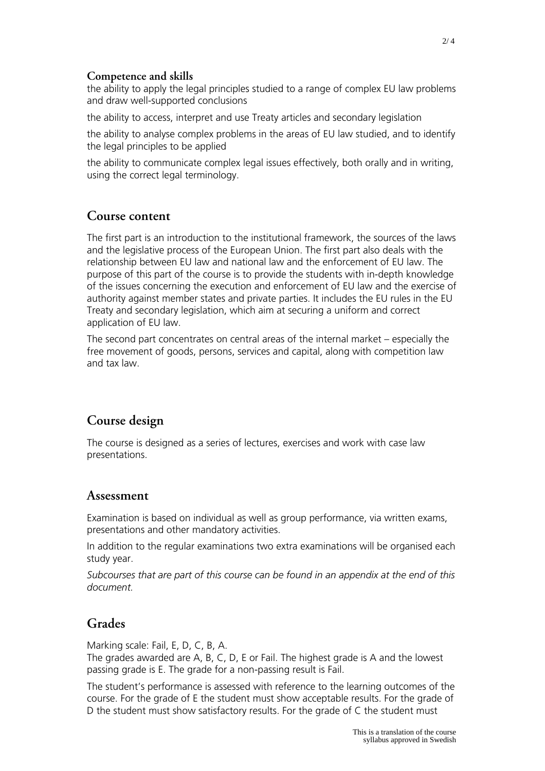#### **Competence and skills**

the ability to apply the legal principles studied to a range of complex EU law problems and draw well-supported conclusions

the ability to access, interpret and use Treaty articles and secondary legislation

the ability to analyse complex problems in the areas of EU law studied, and to identify the legal principles to be applied

the ability to communicate complex legal issues effectively, both orally and in writing, using the correct legal terminology.

#### **Course content**

The first part is an introduction to the institutional framework, the sources of the laws and the legislative process of the European Union. The first part also deals with the relationship between EU law and national law and the enforcement of EU law. The purpose of this part of the course is to provide the students with in-depth knowledge of the issues concerning the execution and enforcement of EU law and the exercise of authority against member states and private parties. It includes the EU rules in the EU Treaty and secondary legislation, which aim at securing a uniform and correct application of EU law.

The second part concentrates on central areas of the internal market – especially the free movement of goods, persons, services and capital, along with competition law and tax law.

## **Course design**

The course is designed as a series of lectures, exercises and work with case law presentations.

#### **Assessment**

Examination is based on individual as well as group performance, via written exams, presentations and other mandatory activities.

In addition to the regular examinations two extra examinations will be organised each study year.

*Subcourses that are part of this course can be found in an appendix at the end of this document.*

## **Grades**

Marking scale: Fail, E, D, C, B, A.

The grades awarded are A, B, C, D, E or Fail. The highest grade is A and the lowest passing grade is E. The grade for a non-passing result is Fail.

The student's performance is assessed with reference to the learning outcomes of the course. For the grade of E the student must show acceptable results. For the grade of D the student must show satisfactory results. For the grade of C the student must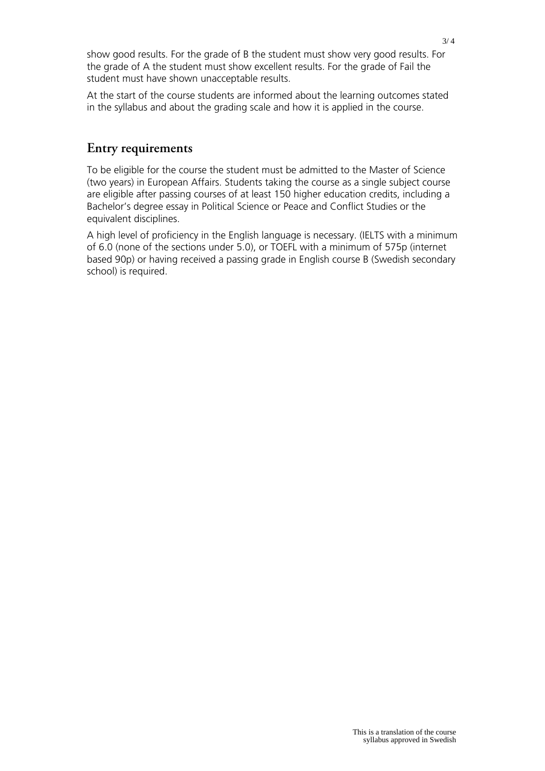show good results. For the grade of B the student must show very good results. For the grade of A the student must show excellent results. For the grade of Fail the student must have shown unacceptable results.

At the start of the course students are informed about the learning outcomes stated in the syllabus and about the grading scale and how it is applied in the course.

#### **Entry requirements**

To be eligible for the course the student must be admitted to the Master of Science (two years) in European Affairs. Students taking the course as a single subject course are eligible after passing courses of at least 150 higher education credits, including a Bachelor's degree essay in Political Science or Peace and Conflict Studies or the equivalent disciplines.

A high level of proficiency in the English language is necessary. (IELTS with a minimum of 6.0 (none of the sections under 5.0), or TOEFL with a minimum of 575p (internet based 90p) or having received a passing grade in English course B (Swedish secondary school) is required.